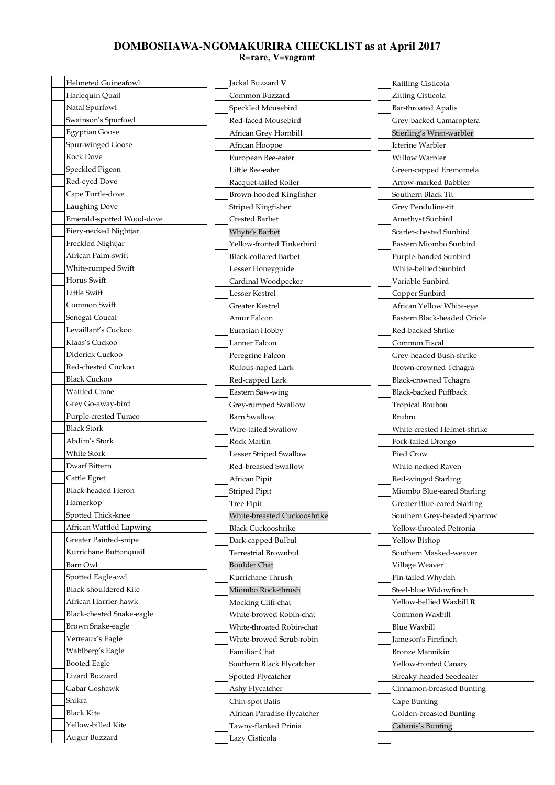## **DOMBOSHAWA-NGOMAKURIRA CHECKLIST as at April 2017 R=rare, V=vagrant**

| <b>Helmeted Guineafowl</b>          | Jackal Buzzard V                       | Rattling Cisticola           |  |
|-------------------------------------|----------------------------------------|------------------------------|--|
| Harlequin Quail                     | Zitting Cisticola<br>Common Buzzard    |                              |  |
| Natal Spurfowl                      | Speckled Mousebird                     | <b>Bar-throated Apalis</b>   |  |
| Swainson's Spurfowl                 | Red-faced Mousebird                    | Grey-backed Camaroptera      |  |
| <b>Egyptian Goose</b>               | African Grey Hornbill                  | Stierling's Wren-warbler     |  |
| Spur-winged Goose                   | African Hoopoe                         | <b>Icterine Warbler</b>      |  |
| <b>Rock Dove</b>                    | European Bee-eater                     | Willow Warbler               |  |
| Speckled Pigeon                     | Little Bee-eater                       | Green-capped Eremomela       |  |
| Red-eyed Dove                       | Racquet-tailed Roller                  | Arrow-marked Babbler         |  |
| Cape Turtle-dove                    | Brown-hooded Kingfisher                | Southern Black Tit           |  |
| Laughing Dove                       | Striped Kingfisher                     | Grey Penduline-tit           |  |
| Emerald-spotted Wood-dove           | <b>Crested Barbet</b>                  | Amethyst Sunbird             |  |
| Fiery-necked Nightjar               | Whyte's Barbet                         | Scarlet-chested Sunbird      |  |
| Freckled Nightjar                   | Yellow-fronted Tinkerbird              | Eastern Miombo Sunbird       |  |
| African Palm-swift                  | <b>Black-collared Barbet</b>           | Purple-banded Sunbird        |  |
| White-rumped Swift                  | Lesser Honeyguide                      | White-bellied Sunbird        |  |
| Horus Swift                         | Cardinal Woodpecker                    | Variable Sunbird             |  |
| Little Swift                        | Lesser Kestrel                         | Copper Sunbird               |  |
| Common Swift                        | Greater Kestrel                        | African Yellow White-eye     |  |
| Senegal Coucal                      | Amur Falcon                            | Eastern Black-headed Oriole  |  |
| Levaillant's Cuckoo                 | Eurasian Hobby                         | Red-backed Shrike            |  |
| Klaas's Cuckoo                      | Lanner Falcon                          | Common Fiscal                |  |
| Diderick Cuckoo                     | Peregrine Falcon                       | Grey-headed Bush-shrike      |  |
| Red-chested Cuckoo                  | Rufous-naped Lark                      | Brown-crowned Tchagra        |  |
| <b>Black Cuckoo</b>                 | Red-capped Lark                        | Black-crowned Tchagra        |  |
| Wattled Crane                       | Eastern Saw-wing                       | <b>Black-backed Puffback</b> |  |
| Grey Go-away-bird                   | Grey-rumped Swallow                    | Tropical Boubou              |  |
| Purple-crested Turaco               | <b>Barn Swallow</b>                    | Brubru                       |  |
| <b>Black Stork</b>                  | Wire-tailed Swallow                    | White-crested Helmet-shrike  |  |
| Abdim's Stork                       | Rock Martin                            | Fork-tailed Drongo           |  |
| White Stork                         | Lesser Striped Swallow                 | Pied Crow                    |  |
| Dwarf Bittern                       | Red-breasted Swallow                   | White-necked Raven           |  |
| Cattle Egret                        | African Pipit                          | Red-winged Starling          |  |
| Black-headed Heron                  | Striped Pipit                          | Miombo Blue-eared Starling-  |  |
| Hamerkop                            | Tree Pipit                             | Greater Blue-eared Starling  |  |
| Spotted Thick-knee                  | White-breasted Cuckooshrike            | Southern Grey-headed Sparrow |  |
| African Wattled Lapwing             | <b>Black Cuckooshrike</b>              |                              |  |
| Greater Painted-snipe               |                                        | Yellow-throated Petronia     |  |
|                                     | Dark-capped Bulbul                     | Yellow Bishop                |  |
| Kurrichane Buttonquail              | Terrestrial Brownbul                   | Southern Masked-weaver       |  |
| Barn Owl                            | <b>Boulder Chat</b>                    | Village Weaver               |  |
| Spotted Eagle-owl                   | Kurrichane Thrush                      | Pin-tailed Whydah            |  |
| Black-shouldered Kite               | Miombo Rock-thrush                     | Steel-blue Widowfinch        |  |
| African Harrier-hawk                | Mocking Cliff-chat                     | Yellow-bellied Waxbill R     |  |
| Black-chested Snake-eagle           | White-browed Robin-chat                | Common Waxbill               |  |
| Brown Snake-eagle                   | White-throated Robin-chat              | Blue Waxbill                 |  |
| Verreaux's Eagle                    | White-browed Scrub-robin               | Jameson's Firefinch          |  |
| Wahlberg's Eagle                    | Familiar Chat                          | <b>Bronze Mannikin</b>       |  |
| <b>Booted Eagle</b>                 | Southern Black Flycatcher              | Yellow-fronted Canary        |  |
| Lizard Buzzard                      | Spotted Flycatcher                     | Streaky-headed Seedeater     |  |
| Gabar Goshawk                       | Ashy Flycatcher                        | Cinnamon-breasted Bunting    |  |
| Shikra                              | Chin-spot Batis                        | Cape Bunting                 |  |
| <b>Black Kite</b>                   | African Paradise-flycatcher            | Golden-breasted Bunting      |  |
| Yellow-billed Kite<br>Augur Buzzard | Tawny-flanked Prinia<br>Lazy Cisticola | Cabanis's Bunting            |  |